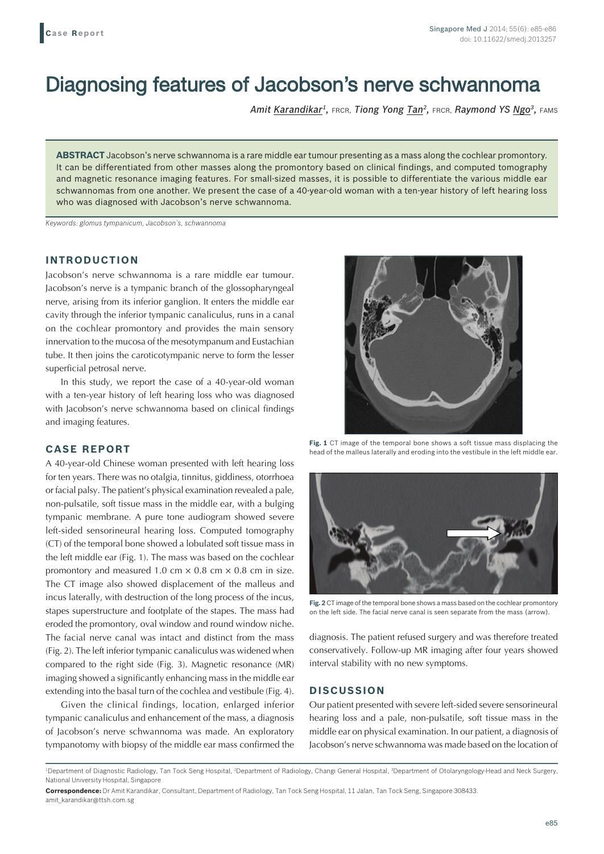# Diagnosing features of Jacobson's nerve schwannoma

*Amit Karandikar1,* FRCR, *Tiong Yong Tan2,* FRCR, *Raymond YS Ngo3,* FAMS

**ABSTRACT** Jacobson's nerve schwannoma is a rare middle ear tumour presenting as a mass along the cochlear promontory. It can be differentiated from other masses along the promontory based on clinical findings, and computed tomography and magnetic resonance imaging features. For small-sized masses, it is possible to differentiate the various middle ear schwannomas from one another. We present the case of a 40-year-old woman with a ten-year history of left hearing loss who was diagnosed with Jacobson's nerve schwannoma.

*Keywords: glomus tympanicum, Jacobson's, schwannoma*

## **INTRODUCTION**

Jacobson's nerve schwannoma is a rare middle ear tumour. Jacobson's nerve is a tympanic branch of the glossopharyngeal nerve, arising from its inferior ganglion. It enters the middle ear cavity through the inferior tympanic canaliculus, runs in a canal on the cochlear promontory and provides the main sensory innervation to the mucosa of the mesotympanum and Eustachian tube. It then joins the caroticotympanic nerve to form the lesser superficial petrosal nerve.

In this study, we report the case of a 40-year-old woman with a ten-year history of left hearing loss who was diagnosed with Jacobson's nerve schwannoma based on clinical findings and imaging features.

## **CASE REPORT**

A 40-year-old Chinese woman presented with left hearing loss for ten years. There was no otalgia, tinnitus, giddiness, otorrhoea or facial palsy. The patient's physical examination revealed a pale, non-pulsatile, soft tissue mass in the middle ear, with a bulging tympanic membrane. A pure tone audiogram showed severe left-sided sensorineural hearing loss. Computed tomography (CT) of the temporal bone showed a lobulated soft tissue mass in the left middle ear (Fig. 1). The mass was based on the cochlear promontory and measured 1.0 cm  $\times$  0.8 cm  $\times$  0.8 cm in size. The CT image also showed displacement of the malleus and incus laterally, with destruction of the long process of the incus, stapes superstructure and footplate of the stapes. The mass had eroded the promontory, oval window and round window niche. The facial nerve canal was intact and distinct from the mass (Fig. 2). The left inferior tympanic canaliculus was widened when compared to the right side (Fig. 3). Magnetic resonance (MR) imaging showed a significantly enhancing mass in the middle ear extending into the basal turn of the cochlea and vestibule (Fig. 4).

Given the clinical findings, location, enlarged inferior tympanic canaliculus and enhancement of the mass, a diagnosis of Jacobson's nerve schwannoma was made. An exploratory tympanotomy with biopsy of the middle ear mass confirmed the



**Fig. 1** CT image of the temporal bone shows a soft tissue mass displacing the head of the malleus laterally and eroding into the vestibule in the left middle ear.



**Fig. 2** CT image of the temporal bone shows a mass based on the cochlear promontory on the left side. The facial nerve canal is seen separate from the mass (arrow).

diagnosis. The patient refused surgery and was therefore treated conservatively. Follow-up MR imaging after four years showed interval stability with no new symptoms.

#### **DISCUSSION**

Our patient presented with severe left-sided severe sensorineural hearing loss and a pale, non-pulsatile, soft tissue mass in the middle ear on physical examination. In our patient, a diagnosis of Jacobson's nerve schwannoma was made based on the location of

<sup>&</sup>lt;sup>1</sup>Department of Diagnostic Radiology, Tan Tock Seng Hospital, <sup>2</sup>Department of Radiology, Changi General Hospital, <sup>3</sup>Department of Otolaryngology-Head and Neck Surgery, National University Hospital, Singapore

**Correspondence:** Dr Amit Karandikar, Consultant, Department of Radiology, Tan Tock Seng Hospital, 11 Jalan, Tan Tock Seng, Singapore 308433. amit\_karandikar@ttsh.com.sg